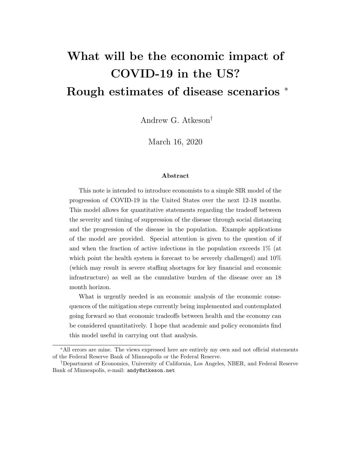# What will be the economic impact of COVID-19 in the US? Rough estimates of disease scenarios <sup>∗</sup>

Andrew G. Atkeson†

March 16, 2020

#### Abstract

This note is intended to introduce economists to a simple SIR model of the progression of COVID-19 in the United States over the next 12-18 months. This model allows for quantitative statements regarding the tradeoff between the severity and timing of suppression of the disease through social distancing and the progression of the disease in the population. Example applications of the model are provided. Special attention is given to the question of if and when the fraction of active infections in the population exceeds 1% (at which point the health system is forecast to be severely challenged) and  $10\%$ (which may result in severe staffing shortages for key financial and economic infrastructure) as well as the cumulative burden of the disease over an 18 month horizon.

What is urgently needed is an economic analysis of the economic consequences of the mitigation steps currently being implemented and contemplated going forward so that economic tradeoffs between health and the economy can be considered quantitatively. I hope that academic and policy economists find this model useful in carrying out that analysis.

<sup>∗</sup>All errors are mine. The views expressed here are entirely my own and not official statements of the Federal Reserve Bank of Minneapolis or the Federal Reserve.

<sup>†</sup>Department of Economics, University of California, Los Angeles, NBER, and Federal Reserve Bank of Minneapolis, e-mail: andy@atkeson.net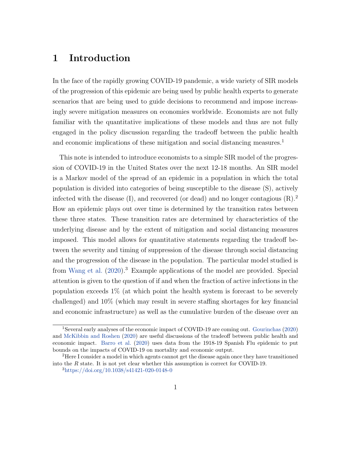## 1 Introduction

In the face of the rapidly growing COVID-19 pandemic, a wide variety of SIR models of the progression of this epidemic are being used by public health experts to generate scenarios that are being used to guide decisions to recommend and impose increasingly severe mitigation measures on economies worldwide. Economists are not fully familiar with the quantitative implications of these models and thus are not fully engaged in the policy discussion regarding the tradeoff between the public health and economic implications of these mitigation and social distancing measures.<sup>1</sup>

This note is intended to introduce economists to a simple SIR model of the progression of COVID-19 in the United States over the next 12-18 months. An SIR model is a Markov model of the spread of an epidemic in a population in which the total population is divided into categories of being susceptible to the disease (S), actively infected with the disease  $(I)$ , and recovered (or dead) and no longer contagious  $(R)$ .<sup>2</sup> How an epidemic plays out over time is determined by the transition rates between these three states. These transition rates are determined by characteristics of the underlying disease and by the extent of mitigation and social distancing measures imposed. This model allows for quantitative statements regarding the tradeoff between the severity and timing of suppression of the disease through social distancing and the progression of the disease in the population. The particular model studied is from [Wang et al.](#page-23-0)  $(2020)^3$  $(2020)^3$  Example applications of the model are provided. Special attention is given to the question of if and when the fraction of active infections in the population exceeds 1% (at which point the health system is forecast to be severely challenged) and 10% (which may result in severe staffing shortages for key financial and economic infrastructure) as well as the cumulative burden of the disease over an

<sup>1</sup>Several early analyses of the economic impact of COVID-19 are coming out. [Gourinchas](#page-22-0) [\(2020\)](#page-22-0) and [McKibbin and Roshen](#page-23-1) [\(2020\)](#page-23-1) are useful discussions of the tradeoff between public health and economic impact. [Barro et al.](#page-22-1) [\(2020\)](#page-22-1) uses data from the 1918-19 Spanish Flu epidemic to put bounds on the impacts of COVID-19 on mortality and economic output.

<sup>2</sup>Here I consider a model in which agents cannot get the disease again once they have transitioned into the  $R$  state. It is not yet clear whether this assumption is correct for COVID-19.

<sup>3</sup><https://doi.org/10.1038/s41421-020-0148-0>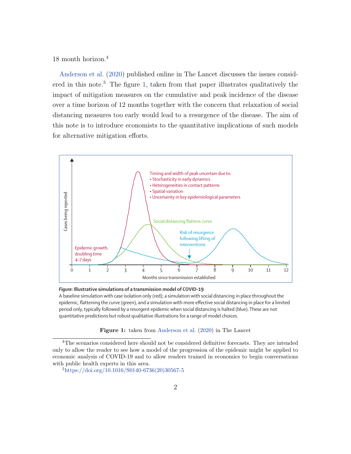18 month horizon.<sup>4</sup>

[Anderson et al.](#page-22-2) [\(2020\)](#page-22-2) published online in The Lancet discusses the issues consid-ered in this note.<sup>5</sup> The figure [1,](#page-2-0) taken from that paper illustrates qualitatively the impact of mitigation measures on the cumulative and peak incidence of the disease over a time horizon of 12 months together with the concern that relaxation of social distancing measures too early would lead to a resurgence of the disease. The aim of this note is to introduce economists to the quantitative implications of such models for alternative mitigation efforts.

<span id="page-2-0"></span>

*Figure:* **Illustrative simulations of a transmission model of COVID-19**

A baseline simulation with case isolation only (red); a simulation with social distancing in place throughout the epidemic, flattening the curve (green), and a simulation with more effective social distancing in place for a limited period only, typically followed by a resurgent epidemic when social distancing is halted (blue). These are not quantitative predictions but robust qualitative illustrations for a range of model choices.

Figure 1: taken from [Anderson et al.](#page-22-2) [\(2020\)](#page-22-2) in The Lancet

 $^5$ https://doi.org/10.1016/S0140-6736(20)30567-5

in western democracies might be the most important issue. Early self-isolation, seeking medical advice remotely unless symptoms are severe, and social distancing are  $\frac{4}{10}$  The scenarios considered here should not be considered definitive forecasts. They are intended only to allow the reader to see how a model of the progression of the epidemic might be applied to economic analysis of COVID-19 and to<br>with public health experts in this area. economic analysis of COVID-19 and to allow readers trained in economics to begin conversations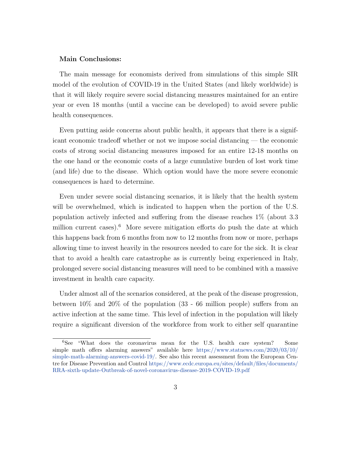#### Main Conclusions:

The main message for economists derived from simulations of this simple SIR model of the evolution of COVID-19 in the United States (and likely worldwide) is that it will likely require severe social distancing measures maintained for an entire year or even 18 months (until a vaccine can be developed) to avoid severe public health consequences.

Even putting aside concerns about public health, it appears that there is a significant economic tradeoff whether or not we impose social distancing — the economic costs of strong social distancing measures imposed for an entire 12-18 months on the one hand or the economic costs of a large cumulative burden of lost work time (and life) due to the disease. Which option would have the more severe economic consequences is hard to determine.

Even under severe social distancing scenarios, it is likely that the health system will be overwhelmed, which is indicated to happen when the portion of the U.S. population actively infected and suffering from the disease reaches 1% (about 3.3 million current cases).<sup>6</sup> More severe mitigation efforts do push the date at which this happens back from 6 months from now to 12 months from now or more, perhaps allowing time to invest heavily in the resources needed to care for the sick. It is clear that to avoid a health care catastrophe as is currently being experienced in Italy, prolonged severe social distancing measures will need to be combined with a massive investment in health care capacity.

Under almost all of the scenarios considered, at the peak of the disease progression, between 10% and 20% of the population (33 - 66 million people) suffers from an active infection at the same time. This level of infection in the population will likely require a significant diversion of the workforce from work to either self quarantine

<sup>6</sup>See "What does the coronavirus mean for the U.S. health care system? Some simple math offers alarming answers" available here [https://www.statnews.com/2020/03/10/](https://www.statnews.com/2020/03/10/simple-math-alarming-answers-covid-19/) [simple-math-alarming-answers-covid-19/.](https://www.statnews.com/2020/03/10/simple-math-alarming-answers-covid-19/) See also this recent assessment from the European Centre for Disease Prevention and Control [https://www.ecdc.europa.eu/sites/default/files/documents/](https://www.ecdc.europa.eu/sites/default/files/documents/RRA-sixth-update-Outbreak-of-novel-coronavirus-disease-2019-COVID-19.pdf) [RRA-sixth-update-Outbreak-of-novel-coronavirus-disease-2019-COVID-19.pdf](https://www.ecdc.europa.eu/sites/default/files/documents/RRA-sixth-update-Outbreak-of-novel-coronavirus-disease-2019-COVID-19.pdf)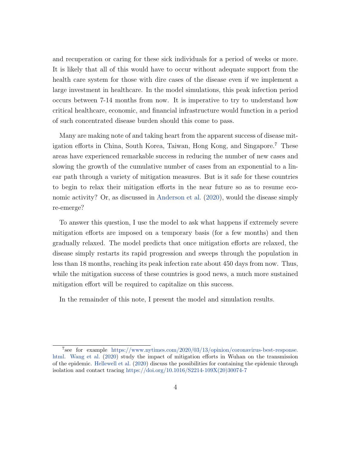and recuperation or caring for these sick individuals for a period of weeks or more. It is likely that all of this would have to occur without adequate support from the health care system for those with dire cases of the disease even if we implement a large investment in healthcare. In the model simulations, this peak infection period occurs between 7-14 months from now. It is imperative to try to understand how critical healthcare, economic, and financial infrastructure would function in a period of such concentrated disease burden should this come to pass.

Many are making note of and taking heart from the apparent success of disease mitigation efforts in China, South Korea, Taiwan, Hong Kong, and Singapore.<sup>7</sup> These areas have experienced remarkable success in reducing the number of new cases and slowing the growth of the cumulative number of cases from an exponential to a linear path through a variety of mitigation measures. But is it safe for these countries to begin to relax their mitigation efforts in the near future so as to resume economic activity? Or, as discussed in [Anderson et al.](#page-22-2) [\(2020\)](#page-22-2), would the disease simply re-emerge?

To answer this question, I use the model to ask what happens if extremely severe mitigation efforts are imposed on a temporary basis (for a few months) and then gradually relaxed. The model predicts that once mitigation efforts are relaxed, the disease simply restarts its rapid progression and sweeps through the population in less than 18 months, reaching its peak infection rate about 450 days from now. Thus, while the mitigation success of these countries is good news, a much more sustained mitigation effort will be required to capitalize on this success.

In the remainder of this note, I present the model and simulation results.

<sup>7</sup> see for example [https://www.nytimes.com/2020/03/13/opinion/coronavirus-best-response.](https://www.nytimes.com/2020/03/13/opinion/coronavirus-best-response.html) [html.](https://www.nytimes.com/2020/03/13/opinion/coronavirus-best-response.html) [Wang et al.](#page-23-0) [\(2020\)](#page-23-0) study the impact of mitigation efforts in Wuhan on the transmission of the epidemic. [Hellewell et al.](#page-22-3) [\(2020\)](#page-22-3) discuss the possibilities for containing the epidemic through isolation and contact tracing [https://doi.org/10.1016/S2214-109X\(20\)30074-7](https://doi.org/10.1016/S2214-109X(20)30074-7)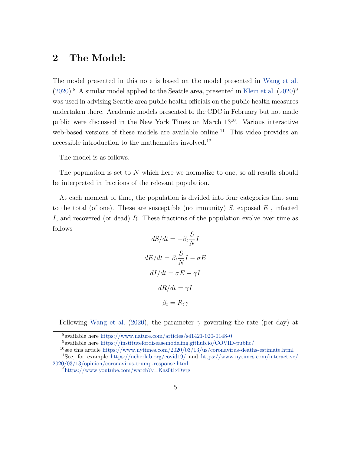### 2 The Model:

The model presented in this note is based on the model presented in [Wang et al.](#page-23-0)  $(2020).<sup>8</sup>$  $(2020).<sup>8</sup>$  A similar model applied to the Seattle area, presented in [Klein et al.](#page-22-4)  $(2020)^9$ was used in advising Seattle area public health officials on the public health measures undertaken there. Academic models presented to the CDC in February but not made public were discussed in the New York Times on March 13<sup>10</sup>. Various interactive web-based versions of these models are available online.<sup>11</sup> This video provides an accessible introduction to the mathematics involved.<sup>12</sup>

The model is as follows.

The population is set to  $N$  which here we normalize to one, so all results should be interpreted in fractions of the relevant population.

At each moment of time, the population is divided into four categories that sum to the total (of one). These are susceptible (no immunity)  $S$ , exposed  $E$ , infected I, and recovered (or dead) R. These fractions of the population evolve over time as follows

$$
dS/dt = -\beta_t \frac{S}{N}I
$$

$$
dE/dt = \beta_t \frac{S}{N}I - \sigma E
$$

$$
dI/dt = \sigma E - \gamma I
$$

$$
dR/dt = \gamma I
$$

$$
\beta_t = R_t \gamma
$$

Following [Wang et al.](#page-23-0) [\(2020\)](#page-23-0), the parameter  $\gamma$  governing the rate (per day) at

<sup>8</sup>available here <https://www.nature.com/articles/s41421-020-0148-0>

<sup>9</sup>available here <https://institutefordiseasemodeling.github.io/COVID-public/>

 $10$ see this article <https://www.nytimes.com/2020/03/13/us/coronavirus-deaths-estimate.html>

<sup>11</sup>See, for example <https://neherlab.org/covid19/> and [https://www.nytimes.com/interactive/](https://www.nytimes.com/interactive/2020/03/13/opinion/coronavirus-trump-response.html) [2020/03/13/opinion/coronavirus-trump-response.html](https://www.nytimes.com/interactive/2020/03/13/opinion/coronavirus-trump-response.html)

<sup>12</sup><https://www.youtube.com/watch?v=Kas0tIxDvrg>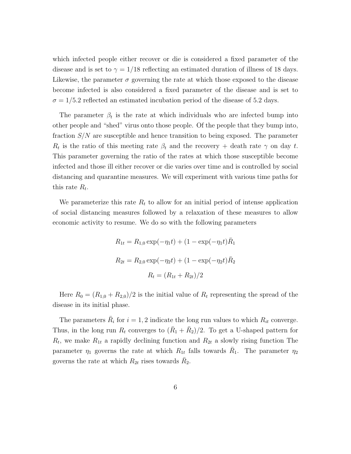which infected people either recover or die is considered a fixed parameter of the disease and is set to  $\gamma = 1/18$  reflecting an estimated duration of illness of 18 days. Likewise, the parameter  $\sigma$  governing the rate at which those exposed to the disease become infected is also considered a fixed parameter of the disease and is set to  $\sigma = 1/5.2$  reflected an estimated incubation period of the disease of 5.2 days.

The parameter  $\beta_t$  is the rate at which individuals who are infected bump into other people and "shed" virus onto those people. Of the people that they bump into, fraction S/N are susceptible and hence transition to being exposed. The parameter  $R_t$  is the ratio of this meeting rate  $\beta_t$  and the recovery + death rate  $\gamma$  on day t. This parameter governing the ratio of the rates at which those susceptible become infected and those ill either recover or die varies over time and is controlled by social distancing and quarantine measures. We will experiment with various time paths for this rate  $R_t$ .

We parameterize this rate  $R_t$  to allow for an initial period of intense application of social distancing measures followed by a relaxation of these measures to allow economic activity to resume. We do so with the following parameters

$$
R_{1t} = R_{1,0} \exp(-\eta_1 t) + (1 - \exp(-\eta_1 t)\bar{R}_1
$$

$$
R_{2t} = R_{2,0} \exp(-\eta_2 t) + (1 - \exp(-\eta_2 t)\bar{R}_2
$$

$$
R_t = (R_{1t} + R_{2t})/2
$$

Here  $R_0 = (R_{1,0} + R_{2,0})/2$  is the initial value of  $R_t$  representing the spread of the disease in its initial phase.

The parameters  $\bar{R}_i$  for  $i = 1, 2$  indicate the long run values to which  $R_{it}$  converge. Thus, in the long run  $R_t$  converges to  $(\bar{R}_1 + \bar{R}_2)/2$ . To get a U-shaped pattern for  $R_t$ , we make  $R_{1t}$  a rapidly declining function and  $R_{2t}$  a slowly rising function The parameter  $\eta_1$  governs the rate at which  $R_{1t}$  falls towards  $\bar{R}_1$ . The parameter  $\eta_2$ governs the rate at which  $R_{2t}$  rises towards  $\bar{R}_{2}$ .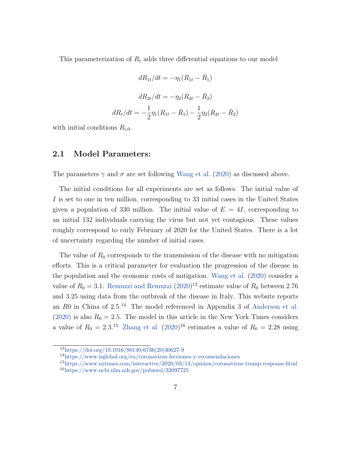This parameterization of  $R_t$  adds three differential equations to our model

$$
dR_{1t}/dt = -\eta_1 (R_{1t} - \bar{R}_1)
$$

$$
dR_{2t}/dt = -\eta_2 (R_{2t} - \bar{R}_2)
$$

$$
dR_t/dt = -\frac{1}{2}\eta_1 (R_{1t} - \bar{R}_1) - \frac{1}{2}\eta_2 (R_{2t} - \bar{R}_2)
$$

with initial conditions  $R_{i,0}$ .

#### 2.1 Model Parameters:

The parameters  $\gamma$  and  $\sigma$  are set following [Wang et al.](#page-23-0) [\(2020\)](#page-23-0) as discussed above.

The initial conditions for all experiments are set as follows. The initial value of I is set to one in ten million, corresponding to 33 initial cases in the United States given a population of 330 million. The initial value of  $E = 4I$ , corresponding to an initial 132 individuals carrying the virus but not yet contagious. These values roughly correspond to early February of 2020 for the United States. There is a lot of uncertainty regarding the number of initial cases.

The value of  $R_0$  corresponds to the transmission of the disease with no mitigation efforts. This is a critical parameter for evaluation the progression of the disease in the population and the economic costs of mitigation. [Wang et al.](#page-23-0) [\(2020\)](#page-23-0) consider a value of  $R_0 = 3.1$ . [Remuzzi and Remuzzi](#page-23-2)  $(2020)^{13}$  $(2020)^{13}$  estimate value of  $R_0$  between 2.76 and 3.25 using data from the outbreak of the disease in Italy. This website reports an  $R0$  in China of  $2.5<sup>14</sup>$ . The model referenced in Appendix 3 of [Anderson et al.](#page-22-2) [\(2020\)](#page-22-2) is also  $R_0 = 2.5$ . The model in this article in the New York Times considers a value of  $R_0 = 2.3^{15}$  [Zhang et al.](#page-23-3)  $(2020)^{16}$  $(2020)^{16}$  estimates a value of  $R_0 = 2.28$  using

<sup>13</sup>[https://doi.org/10.1016/S0140-6736\(20\)30627-9](https://doi.org/10.1016/S0140-6736(20)30627-9)

<sup>14</sup><https://www.isglobal.org/en/coronavirus-lecciones-y-recomendaciones>

<sup>15</sup><https://www.nytimes.com/interactive/2020/03/13/opinion/coronavirus-trump-response.html>

<sup>16</sup><https://www.ncbi.nlm.nih.gov/pubmed/32097725>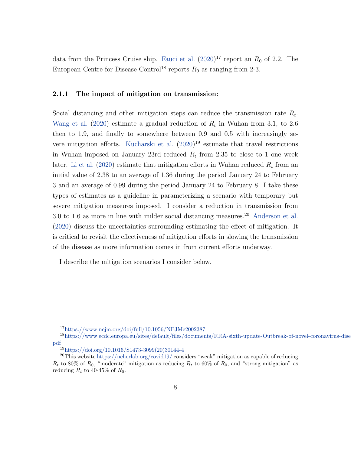data from the Princess Cruise ship. [Fauci et al.](#page-22-5)  $(2020)^{17}$  $(2020)^{17}$  report an  $R_0$  of 2.2. The European Centre for Disease Control<sup>18</sup> reports  $R_0$  as ranging from 2-3.

#### 2.1.1 The impact of mitigation on transmission:

Social distancing and other mitigation steps can reduce the transmission rate  $R_t$ . [Wang et al.](#page-23-0) [\(2020\)](#page-23-0) estimate a gradual reduction of  $R_t$  in Wuhan from 3.1, to 2.6 then to 1.9, and finally to somewhere between 0.9 and 0.5 with increasingly severe mitigation efforts. [Kucharski et al.](#page-22-6) [\(2020\)](#page-22-6) <sup>19</sup> estimate that travel restrictions in Wuhan imposed on January 23rd reduced  $R_t$  from 2.35 to close to 1 one week later. [Li et al.](#page-22-7) [\(2020\)](#page-22-7) estimate that mitigation efforts in Wuhan reduced  $R_t$  from an initial value of 2.38 to an average of 1.36 during the period January 24 to February 3 and an average of 0.99 during the period January 24 to February 8. I take these types of estimates as a guideline in parameterizing a scenario with temporary but severe mitigation measures imposed. I consider a reduction in transmission from 3.0 to 1.6 as more in line with milder social distancing measures.<sup>20</sup> [Anderson et al.](#page-22-2) [\(2020\)](#page-22-2) discuss the uncertainties surrounding estimating the effect of mitigation. It is critical to revisit the effectiveness of mitigation efforts in slowing the transmission of the disease as more information comes in from current efforts underway.

I describe the mitigation scenarios I consider below.

 $17$ <https://www.nejm.org/doi/full/10.1056/NEJMe2002387>

<sup>&</sup>lt;sup>18</sup>[https://www.ecdc.europa.eu/sites/default/files/documents/RRA-sixth-update-Outbreak-of-no](https://www.ecdc.europa.eu/sites/default/files/documents/RRA-sixth-update-Outbreak-of-novel-coronavirus-disease-2019-COVID-19.pdf)vel-coronavirus-dise [pdf](https://www.ecdc.europa.eu/sites/default/files/documents/RRA-sixth-update-Outbreak-of-novel-coronavirus-disease-2019-COVID-19.pdf)

<sup>19</sup>[https://doi.org/10.1016/S1473-3099\(20\)30144-4](https://doi.org/10.1016/S1473-3099(20)30144-4)

 $^{20}$ This website <https://neherlab.org/covid19/> considers "weak" mitigation as capable of reducing  $R_t$  to 80% of  $R_0$ , "moderate" mitigation as reducing  $R_t$  to 60% of  $R_0$ , and "strong mitigation" as reducing  $R_t$  to 40-45% of  $R_0$ .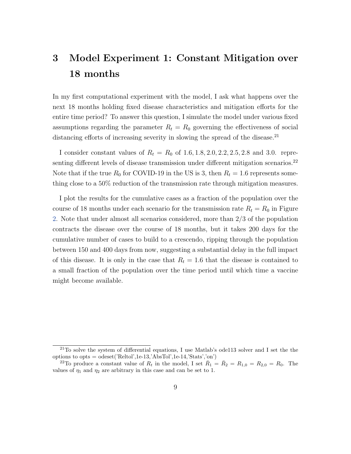## 3 Model Experiment 1: Constant Mitigation over 18 months

In my first computational experiment with the model, I ask what happens over the next 18 months holding fixed disease characteristics and mitigation efforts for the entire time period? To answer this question, I simulate the model under various fixed assumptions regarding the parameter  $R_t = R_0$  governing the effectiveness of social distancing efforts of increasing severity in slowing the spread of the disease.<sup>21</sup>

I consider constant values of  $R_t = R_0$  of 1.6, 1.8, 2.0, 2.2, 2.5, 2.8 and 3.0. representing different levels of disease transmission under different mitigation scenarios.<sup>22</sup> Note that if the true  $R_0$  for COVID-19 in the US is 3, then  $R_t = 1.6$  represents something close to a 50% reduction of the transmission rate through mitigation measures.

I plot the results for the cumulative cases as a fraction of the population over the course of 18 months under each scenario for the transmission rate  $R_t = R_0$  in Figure [2.](#page-10-0) Note that under almost all scenarios considered, more than 2/3 of the population contracts the disease over the course of 18 months, but it takes 200 days for the cumulative number of cases to build to a crescendo, ripping through the population between 150 and 400 days from now, suggesting a substantial delay in the full impact of this disease. It is only in the case that  $R_t = 1.6$  that the disease is contained to a small fraction of the population over the time period until which time a vaccine might become available.

 $21$ To solve the system of differential equations, I use Matlab's ode113 solver and I set the the options to opts = odeset('Reltol',1e-13,'AbsTol',1e-14,'Stats','on')

<sup>&</sup>lt;sup>22</sup>To produce a constant value of  $R_t$  in the model, I set  $\bar{R}_1 = \bar{R}_2 = R_{1,0} = R_{2,0} = R_0$ . The values of  $\eta_1$  and  $\eta_2$  are arbitrary in this case and can be set to 1.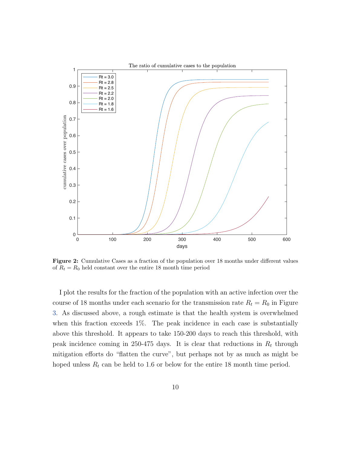<span id="page-10-0"></span>

Figure 2: Cumulative Cases as a fraction of the population over 18 months under different values of  $R_t = R_0$  held constant over the entire 18 month time period

I plot the results for the fraction of the population with an active infection over the course of 18 months under each scenario for the transmission rate  $R_t = R_0$  in Figure [3.](#page-11-0) As discussed above, a rough estimate is that the health system is overwhelmed when this fraction exceeds 1%. The peak incidence in each case is substantially above this threshold. It appears to take 150-200 days to reach this threshold, with peak incidence coming in 250-475 days. It is clear that reductions in  $R_t$  through mitigation efforts do "flatten the curve", but perhaps not by as much as might be hoped unless  $R_t$  can be held to 1.6 or below for the entire 18 month time period.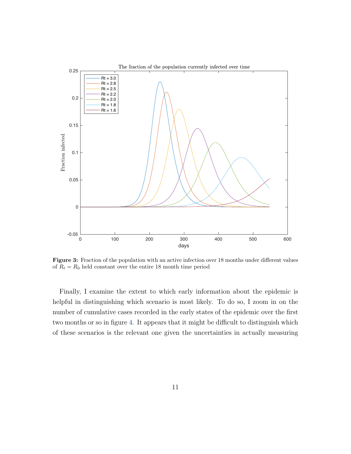<span id="page-11-0"></span>

Figure 3: Fraction of the population with an active infection over 18 months under different values of  $R_t = R_0$  held constant over the entire 18 month time period

Finally, I examine the extent to which early information about the epidemic is helpful in distinguishing which scenario is most likely. To do so, I zoom in on the number of cumulative cases recorded in the early states of the epidemic over the first two months or so in figure [4.](#page-12-0) It appears that it might be difficult to distinguish which of these scenarios is the relevant one given the uncertainties in actually measuring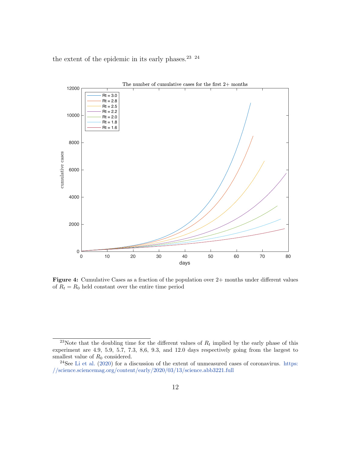the extent of the epidemic in its early phases.  $^{23}\,$   $^{24}$ 

<span id="page-12-0"></span>

Figure 4: Cumulative Cases as a fraction of the population over 2+ months under different values of  $R_t = R_0$  held constant over the entire time period

<sup>&</sup>lt;sup>23</sup>Note that the doubling time for the different values of  $R_t$  implied by the early phase of this experiment are 4.9, 5.9, 5.7, 7.3, 8,6, 9.3, and 12.0 days respectively going from the largest to smallest value of  $R_0$  considered.

 $24$ See [Li et al.](#page-22-7) [\(2020\)](#page-22-7) for a discussion of the extent of unmeasured cases of coronavirus. [https:](https://science.sciencemag.org/content/early/2020/03/13/science.abb3221.full) [//science.sciencemag.org/content/early/2020/03/13/science.abb3221.full](https://science.sciencemag.org/content/early/2020/03/13/science.abb3221.full)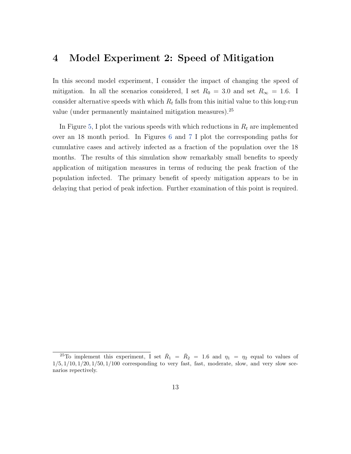### 4 Model Experiment 2: Speed of Mitigation

In this second model experiment, I consider the impact of changing the speed of mitigation. In all the scenarios considered, I set  $R_0 = 3.0$  and set  $R_\infty = 1.6$ . I consider alternative speeds with which  $R_t$  falls from this initial value to this long-run value (under permanently maintained mitigation measures).<sup>25</sup>

In Figure [5,](#page-14-0) I plot the various speeds with which reductions in  $R_t$  are implemented over an 18 month period. In Figures [6](#page-15-0) and [7](#page-16-0) I plot the corresponding paths for cumulative cases and actively infected as a fraction of the population over the 18 months. The results of this simulation show remarkably small benefits to speedy application of mitigation measures in terms of reducing the peak fraction of the population infected. The primary benefit of speedy mitigation appears to be in delaying that period of peak infection. Further examination of this point is required.

<sup>&</sup>lt;sup>25</sup>To implement this experiment, I set  $\bar{R}_1 = \bar{R}_2 = 1.6$  and  $\eta_1 = \eta_2$  equal to values of  $1/5$ ,  $1/10$ ,  $1/20$ ,  $1/50$ ,  $1/100$  corresponding to very fast, fast, moderate, slow, and very slow scenarios repectively.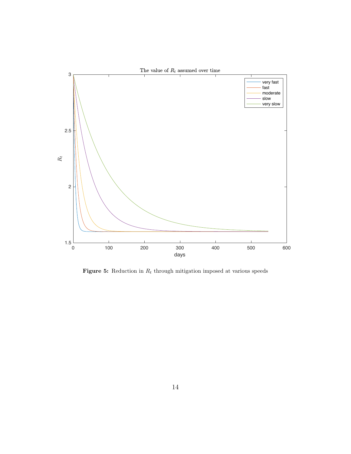<span id="page-14-0"></span>

Figure 5: Reduction in  $R_t$  through mitigation imposed at various speeds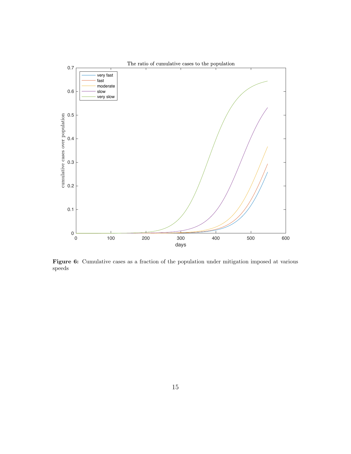<span id="page-15-0"></span>

Figure 6: Cumulative cases as a fraction of the population under mitigation imposed at various speeds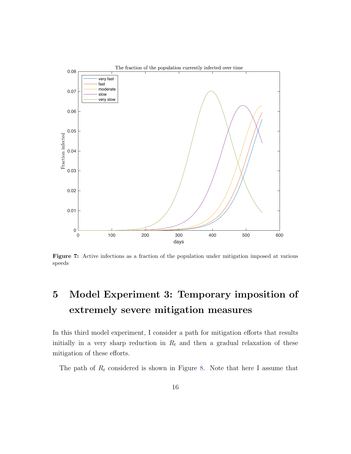<span id="page-16-0"></span>

Figure 7: Active infections as a fraction of the population under mitigation imposed at various speeds

## 5 Model Experiment 3: Temporary imposition of extremely severe mitigation measures

In this third model experiment, I consider a path for mitigation efforts that results initially in a very sharp reduction in  $R_t$  and then a gradual relaxation of these mitigation of these efforts.

The path of  $R_t$  considered is shown in Figure [8.](#page-17-0) Note that here I assume that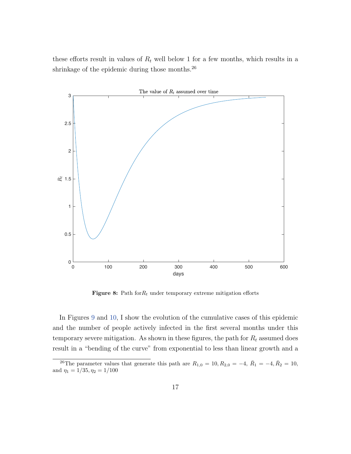these efforts result in values of  $R_t$  well below 1 for a few months, which results in a shrinkage of the epidemic during those months.<sup>26</sup>

<span id="page-17-0"></span>

Figure 8: Path for $R_t$  under temporary extreme mitigation efforts

In Figures [9](#page-18-0) and [10,](#page-19-0) I show the evolution of the cumulative cases of this epidemic and the number of people actively infected in the first several months under this temporary severe mitigation. As shown in these figures, the path for  $R_t$  assumed does result in a "bending of the curve" from exponential to less than linear growth and a

<sup>&</sup>lt;sup>26</sup>The parameter values that generate this path are  $R_{1,0} = 10, R_{2,0} = -4, \bar{R}_1 = -4, \bar{R}_2 = 10,$ and  $\eta_1 = 1/35, \eta_2 = 1/100$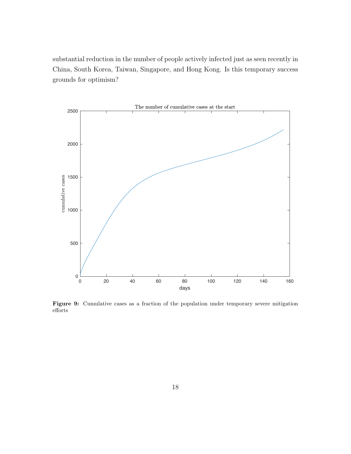substantial reduction in the number of people actively infected just as seen recently in China, South Korea, Taiwan, Singapore, and Hong Kong. Is this temporary success grounds for optimism?

<span id="page-18-0"></span>

Figure 9: Cumulative cases as a fraction of the population under temporary severe mitigation efforts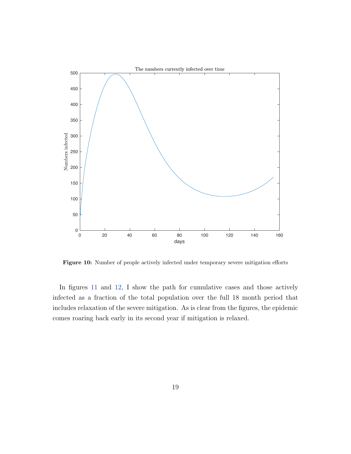<span id="page-19-0"></span>

Figure 10: Number of people actively infected under temporary severe mitigation efforts

In figures [11](#page-20-0) and [12,](#page-21-0) I show the path for cumulative cases and those actively infected as a fraction of the total population over the full 18 month period that includes relaxation of the severe mitigation. As is clear from the figures, the epidemic comes roaring back early in its second year if mitigation is relaxed.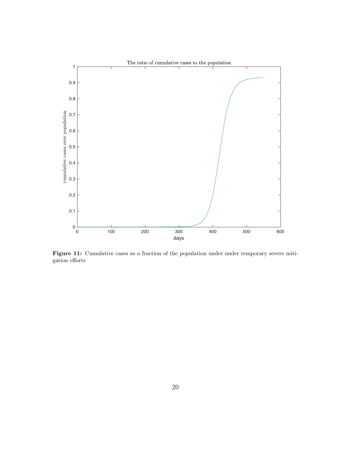<span id="page-20-0"></span>

Figure 11: Cumulative cases as a fraction of the population under under temporary severe mitigation efforts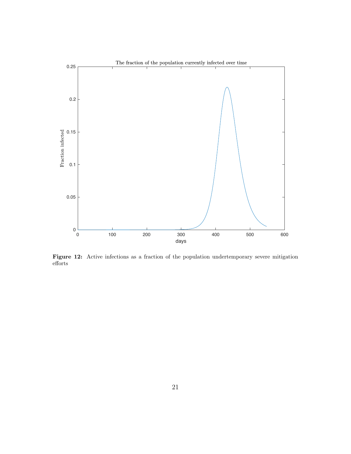<span id="page-21-0"></span>

Figure 12: Active infections as a fraction of the population undertemporary severe mitigation efforts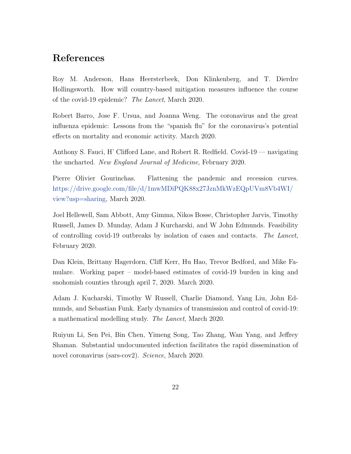## References

<span id="page-22-2"></span>Roy M. Anderson, Hans Heersterbeek, Don Klinkenberg, and T. Dierdre Hollingsworth. How will country-based mitigation measures influence the course of the covid-19 epidemic? The Lancet, March 2020.

<span id="page-22-1"></span>Robert Barro, Jose F. Ursua, and Joanna Weng. The coronavirus and the great influenza epidemic: Lessons from the "spanish flu" for the coronavirus's potential effects on mortality and economic activity. March 2020.

<span id="page-22-5"></span>Anthony S. Fauci, H' Clifford Lane, and Robert R. Redfield. Covid-19 — navigating the uncharted. New England Journal of Medicine, February 2020.

<span id="page-22-0"></span>Pierre Olivier Gourinchas. Flattening the pandemic and recession curves. [https://drive.google.com/file/d/1mwMDiPQK88x27JznMkWzEQpUVm8Vb4WI/](https://drive.google.com/file/d/1mwMDiPQK88x27JznMkWzEQpUVm8Vb4WI/view?usp=sharing) [view?usp=sharing,](https://drive.google.com/file/d/1mwMDiPQK88x27JznMkWzEQpUVm8Vb4WI/view?usp=sharing) March 2020.

<span id="page-22-3"></span>Joel Hellewell, Sam Abbott, Amy Gimma, Nikos Bosse, Christopher Jarvis, Timothy Russell, James D. Munday, Adam J Kurcharski, and W John Edmunds. Feasibility of controlling covid-19 outbreaks by isolation of cases and contacts. The Lancet, February 2020.

<span id="page-22-4"></span>Dan Klein, Brittany Hagerdorn, Cliff Kerr, Hu Hao, Trevor Bedford, and Mike Famulare. Working paper – model-based estimates of covid-19 burden in king and snohomish counties through april 7, 2020. March 2020.

<span id="page-22-6"></span>Adam J. Kucharski, Timothy W Russell, Charlie Diamond, Yang Liu, John Edmunds, and Sebastian Funk. Early dynamics of transmission and control of covid-19: a mathematical modelling study. The Lancet, March 2020.

<span id="page-22-7"></span>Ruiyun Li, Sen Pei, Bin Chen, Yimeng Song, Tao Zhang, Wan Yang, and Jeffrey Shaman. Substantial undocumented infection facilitates the rapid dissemination of novel coronavirus (sars-cov2). Science, March 2020.